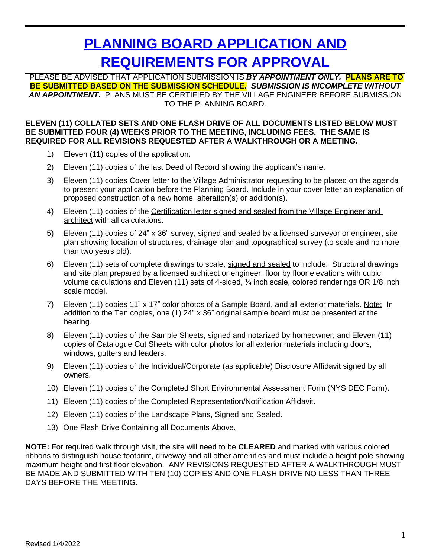# **PLANNING BOARD APPLICATION AND REQUIREMENTS FOR APPROVAL**

PLEASE BE ADVISED THAT APPLICATION SUBMISSION IS *BY APPOINTMENT ONLY.* **PLANS ARE TO BE SUBMITTED BASED ON THE SUBMISSION SCHEDULE.** *SUBMISSION IS INCOMPLETE WITHOUT AN APPOINTMENT.* PLANS MUST BE CERTIFIED BY THE VILLAGE ENGINEER BEFORE SUBMISSION TO THE PLANNING BOARD.

#### **ELEVEN (11) COLLATED SETS AND ONE FLASH DRIVE OF ALL DOCUMENTS LISTED BELOW MUST BE SUBMITTED FOUR (4) WEEKS PRIOR TO THE MEETING, INCLUDING FEES. THE SAME IS REQUIRED FOR ALL REVISIONS REQUESTED AFTER A WALKTHROUGH OR A MEETING.**

- 1) Eleven (11) copies of the application.
- 2) Eleven (11) copies of the last Deed of Record showing the applicant's name.
- 3) Eleven (11) copies Cover letter to the Village Administrator requesting to be placed on the agenda to present your application before the Planning Board. Include in your cover letter an explanation of proposed construction of a new home, alteration(s) or addition(s).
- 4) Eleven (11) copies of the Certification letter signed and sealed from the Village Engineer and architect with all calculations.
- 5) Eleven (11) copies of 24" x 36" survey, signed and sealed by a licensed surveyor or engineer, site plan showing location of structures, drainage plan and topographical survey (to scale and no more than two years old).
- 6) Eleven (11) sets of complete drawings to scale, signed and sealed to include: Structural drawings and site plan prepared by a licensed architect or engineer, floor by floor elevations with cubic volume calculations and Eleven (11) sets of 4-sided, ¼ inch scale, colored renderings OR 1/8 inch scale model.
- 7) Eleven (11) copies 11" x 17" color photos of a Sample Board, and all exterior materials. Note: In addition to the Ten copies, one (1) 24" x 36" original sample board must be presented at the hearing.
- 8) Eleven (11) copies of the Sample Sheets, signed and notarized by homeowner; and Eleven (11) copies of Catalogue Cut Sheets with color photos for all exterior materials including doors, windows, gutters and leaders.
- 9) Eleven (11) copies of the Individual/Corporate (as applicable) Disclosure Affidavit signed by all owners.
- 10) Eleven (11) copies of the Completed Short Environmental Assessment Form (NYS DEC Form).
- 11) Eleven (11) copies of the Completed Representation/Notification Affidavit.
- 12) Eleven (11) copies of the Landscape Plans, Signed and Sealed.
- 13) One Flash Drive Containing all Documents Above.

**NOTE:** For required walk through visit, the site will need to be **CLEARED** and marked with various colored ribbons to distinguish house footprint, driveway and all other amenities and must include a height pole showing maximum height and first floor elevation. ANY REVISIONS REQUESTED AFTER A WALKTHROUGH MUST BE MADE AND SUBMITTED WITH TEN (10) COPIES AND ONE FLASH DRIVE NO LESS THAN THREE DAYS BEFORE THE MEETING.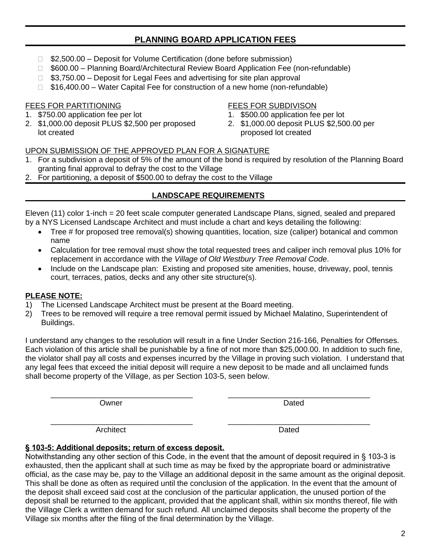# **PLANNING BOARD APPLICATION FEES**

- □ \$2,500.00 Deposit for Volume Certification (done before submission)
- □ \$600.00 Planning Board/Architectural Review Board Application Fee (non-refundable)
- $\Box$  \$3,750.00 Deposit for Legal Fees and advertising for site plan approval
- $\Box$  \$16,400.00 Water Capital Fee for construction of a new home (non-refundable)

# FEES FOR PARTITIONING

- 1. \$750.00 application fee per lot
- 2. \$1,000.00 deposit PLUS \$2,500 per proposed lot created

## FEES FOR SUBDIVISON

- 1. \$500.00 application fee per lot
- 2. \$1,000.00 deposit PLUS \$2,500.00 per proposed lot created

# UPON SUBMISSION OF THE APPROVED PLAN FOR A SIGNATURE

- 1. For a subdivision a deposit of 5% of the amount of the bond is required by resolution of the Planning Board granting final approval to defray the cost to the Village
- 2. For partitioning, a deposit of \$500.00 to defray the cost to the Village

# **LANDSCAPE REQUIREMENTS**

Eleven (11) color 1-inch = 20 feet scale computer generated Landscape Plans, signed, sealed and prepared by a NYS Licensed Landscape Architect and must include a chart and keys detailing the following:

- Tree # for proposed tree removal(s) showing quantities, location, size (caliper) botanical and common name
- Calculation for tree removal must show the total requested trees and caliper inch removal plus 10% for replacement in accordance with the *Village of Old Westbury Tree Removal Code*.
- Include on the Landscape plan: Existing and proposed site amenities, house, driveway, pool, tennis court, terraces, patios, decks and any other site structure(s).

# **PLEASE NOTE:**

- 1) The Licensed Landscape Architect must be present at the Board meeting.
- 2) Trees to be removed will require a tree removal permit issued by Michael Malatino, Superintendent of Buildings.

I understand any changes to the resolution will result in a fine Under Section 216-166, Penalties for Offenses. Each violation of this article shall be punishable by a fine of not more than \$25,000.00. In addition to such fine, the violator shall pay all costs and expenses incurred by the Village in proving such violation. I understand that any legal fees that exceed the initial deposit will require a new deposit to be made and all unclaimed funds shall become property of the Village, as per Section 103-5, seen below.

\_\_\_\_\_\_\_\_\_\_\_\_\_\_\_\_\_\_\_\_\_\_\_\_\_\_\_\_\_\_\_\_\_ \_\_\_\_\_\_\_\_\_\_\_\_\_\_\_\_\_\_\_\_\_\_\_\_\_\_\_\_\_\_\_\_\_ Owner **Dated Dated Dated Dated** 

\_\_\_\_\_\_\_\_\_\_\_\_\_\_\_\_\_\_\_\_\_\_\_\_\_\_\_\_\_\_\_\_\_ \_\_\_\_\_\_\_\_\_\_\_\_\_\_\_\_\_\_\_\_\_\_\_\_\_\_\_\_\_\_\_\_\_ Architect **Dated** 

# **§ 103-5: Additional deposits; return of excess deposit.**

Notwithstanding any other section of this Code, in the event that the amount of deposit required in § 103-3 is exhausted, then the applicant shall at such time as may be fixed by the appropriate board or administrative official, as the case may be, pay to the Village an additional deposit in the same amount as the original deposit. This shall be done as often as required until the conclusion of the application. In the event that the amount of the deposit shall exceed said cost at the conclusion of the particular application, the unused portion of the deposit shall be returned to the applicant, provided that the applicant shall, within six months thereof, file with the Village Clerk a written demand for such refund. All unclaimed deposits shall become the property of the Village six months after the filing of the final determination by the Village.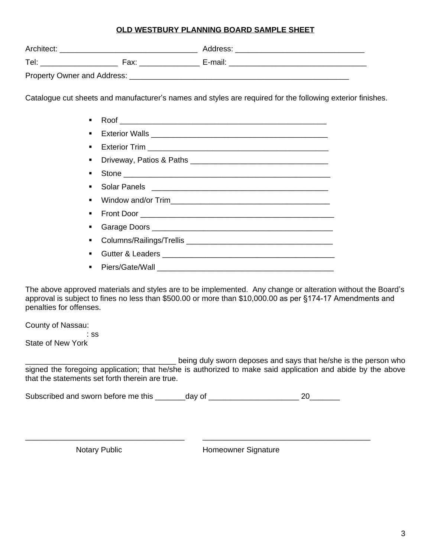### **OLD WESTBURY PLANNING BOARD SAMPLE SHEET**

|  | Catalogue cut sheets and manufacturer's names and styles are required for the following exterior finishes. |  |
|--|------------------------------------------------------------------------------------------------------------|--|
|  |                                                                                                            |  |

| $\mathbf{r}$ | Stone |
|--------------|-------|
|              |       |
|              |       |
|              |       |
|              |       |
|              |       |
|              |       |
|              |       |

The above approved materials and styles are to be implemented. Any change or alteration without the Board's approval is subject to fines no less than \$500.00 or more than \$10,000.00 as per §174-17 Amendments and penalties for offenses.

County of Nassau:

 : ss State of New York

\_\_\_\_\_\_\_\_\_\_\_\_\_\_\_\_\_\_\_\_\_\_\_\_\_\_\_\_\_\_\_\_\_\_\_ being duly sworn deposes and says that he/she is the person who signed the foregoing application; that he/she is authorized to make said application and abide by the above that the statements set forth therein are true.

Subscribed and sworn before me this \_\_\_\_\_\_\_day of \_\_\_\_\_\_\_\_\_\_\_\_\_\_\_\_\_\_\_\_\_ 20\_\_\_\_\_\_\_

\_\_\_\_\_\_\_\_\_\_\_\_\_\_\_\_\_\_\_\_\_\_\_\_\_\_\_\_\_\_\_\_\_\_\_\_\_ \_\_\_\_\_\_\_\_\_\_\_\_\_\_\_\_\_\_\_\_\_\_\_\_\_\_\_\_\_\_\_\_\_\_\_\_\_\_\_

Notary Public **Homeowner Signature**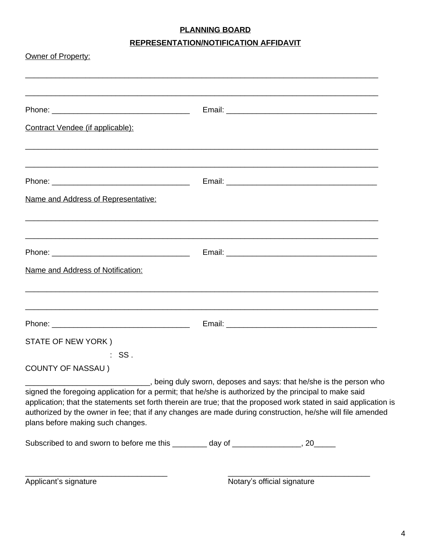# **PLANNING BOARD**

# **REPRESENTATION/NOTIFICATION AFFIDAVIT**

| Owner of Property:<br>,我们就会在这里的人,我们就会在这里的人,我们就会在这里的人,我们就会在这里,我们就会在这里的人,我们就会在这里,我们就会在这里的人,我们就会在这里的人,我们就                                                                                                                                                                                                                                                                                                                                                                                                                    |  |  |  |  |
|---------------------------------------------------------------------------------------------------------------------------------------------------------------------------------------------------------------------------------------------------------------------------------------------------------------------------------------------------------------------------------------------------------------------------------------------------------------------------------------------------------------------------|--|--|--|--|
|                                                                                                                                                                                                                                                                                                                                                                                                                                                                                                                           |  |  |  |  |
| Contract Vendee (if applicable):                                                                                                                                                                                                                                                                                                                                                                                                                                                                                          |  |  |  |  |
|                                                                                                                                                                                                                                                                                                                                                                                                                                                                                                                           |  |  |  |  |
| Name and Address of Representative:                                                                                                                                                                                                                                                                                                                                                                                                                                                                                       |  |  |  |  |
|                                                                                                                                                                                                                                                                                                                                                                                                                                                                                                                           |  |  |  |  |
| Name and Address of Notification:                                                                                                                                                                                                                                                                                                                                                                                                                                                                                         |  |  |  |  |
| ,我们就会在这里的人,我们就会在这里的人,我们就会在这里的人,我们就会在这里,我们就会在这里的人,我们就会在这里,我们就会在这里的人,我们就会在这里的人,我们就                                                                                                                                                                                                                                                                                                                                                                                                                                          |  |  |  |  |
| STATE OF NEW YORK)                                                                                                                                                                                                                                                                                                                                                                                                                                                                                                        |  |  |  |  |
| $:$ SS.                                                                                                                                                                                                                                                                                                                                                                                                                                                                                                                   |  |  |  |  |
| <b>COUNTY OF NASSAU</b> )                                                                                                                                                                                                                                                                                                                                                                                                                                                                                                 |  |  |  |  |
| Letter and says: that he/she is the person who proceed the person who being duly sworn, deposes and says: that he/she is the person who<br>signed the foregoing application for a permit; that he/she is authorized by the principal to make said<br>application; that the statements set forth therein are true; that the proposed work stated in said application is<br>authorized by the owner in fee; that if any changes are made during construction, he/she will file amended<br>plans before making such changes. |  |  |  |  |
| Subscribed to and sworn to before me this ________ day of _______________, 20_____                                                                                                                                                                                                                                                                                                                                                                                                                                        |  |  |  |  |

\_\_\_\_\_\_\_\_\_\_\_\_\_\_\_\_\_\_\_\_\_\_\_\_\_\_\_\_\_\_\_\_\_ \_\_\_\_\_\_\_\_\_\_\_\_\_\_\_\_\_\_\_\_\_\_\_\_\_\_\_\_\_\_\_\_\_ Applicant's signature Notary's official signature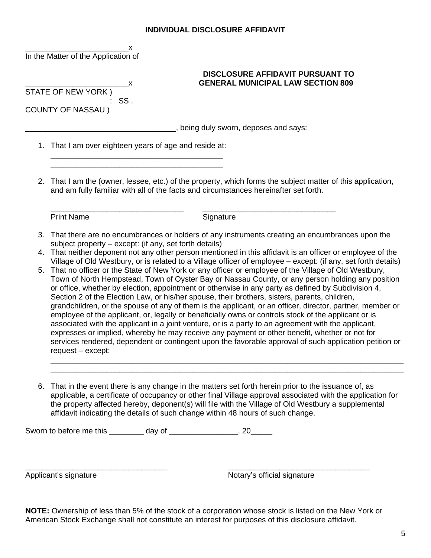### **INDIVIDUAL DISCLOSURE AFFIDAVIT**

|    | x<br>In the Matter of the Application of                                                                                                                                                                                                                                                                                                                                                                                                                                                                                                                                                                                                                                                                                                                                                                                                                                                                                                                                                                                                                                                                                                                                                                                                                                                                                                                                 |  |  |  |
|----|--------------------------------------------------------------------------------------------------------------------------------------------------------------------------------------------------------------------------------------------------------------------------------------------------------------------------------------------------------------------------------------------------------------------------------------------------------------------------------------------------------------------------------------------------------------------------------------------------------------------------------------------------------------------------------------------------------------------------------------------------------------------------------------------------------------------------------------------------------------------------------------------------------------------------------------------------------------------------------------------------------------------------------------------------------------------------------------------------------------------------------------------------------------------------------------------------------------------------------------------------------------------------------------------------------------------------------------------------------------------------|--|--|--|
|    | <b>DISCLOSURE AFFIDAVIT PURSUANT TO</b><br><b>GENERAL MUNICIPAL LAW SECTION 809</b><br>STATE OF NEW YORK)<br>SS.<br>COUNTY OF NASSAU)                                                                                                                                                                                                                                                                                                                                                                                                                                                                                                                                                                                                                                                                                                                                                                                                                                                                                                                                                                                                                                                                                                                                                                                                                                    |  |  |  |
|    | being duly sworn, deposes and says:                                                                                                                                                                                                                                                                                                                                                                                                                                                                                                                                                                                                                                                                                                                                                                                                                                                                                                                                                                                                                                                                                                                                                                                                                                                                                                                                      |  |  |  |
|    | 1. That I am over eighteen years of age and reside at:                                                                                                                                                                                                                                                                                                                                                                                                                                                                                                                                                                                                                                                                                                                                                                                                                                                                                                                                                                                                                                                                                                                                                                                                                                                                                                                   |  |  |  |
|    | 2. That I am the (owner, lessee, etc.) of the property, which forms the subject matter of this application,<br>and am fully familiar with all of the facts and circumstances hereinafter set forth.                                                                                                                                                                                                                                                                                                                                                                                                                                                                                                                                                                                                                                                                                                                                                                                                                                                                                                                                                                                                                                                                                                                                                                      |  |  |  |
|    | <b>Print Name</b><br>Signature                                                                                                                                                                                                                                                                                                                                                                                                                                                                                                                                                                                                                                                                                                                                                                                                                                                                                                                                                                                                                                                                                                                                                                                                                                                                                                                                           |  |  |  |
| 5. | 3. That there are no encumbrances or holders of any instruments creating an encumbrances upon the<br>subject property – except: (if any, set forth details)<br>4. That neither deponent not any other person mentioned in this affidavit is an officer or employee of the<br>Village of Old Westbury, or is related to a Village officer of employee - except: (if any, set forth details)<br>That no officer or the State of New York or any officer or employee of the Village of Old Westbury,<br>Town of North Hempstead, Town of Oyster Bay or Nassau County, or any person holding any position<br>or office, whether by election, appointment or otherwise in any party as defined by Subdivision 4,<br>Section 2 of the Election Law, or his/her spouse, their brothers, sisters, parents, children,<br>grandchildren, or the spouse of any of them is the applicant, or an officer, director, partner, member or<br>employee of the applicant, or, legally or beneficially owns or controls stock of the applicant or is<br>associated with the applicant in a joint venture, or is a party to an agreement with the applicant,<br>expresses or implied, whereby he may receive any payment or other benefit, whether or not for<br>services rendered, dependent or contingent upon the favorable approval of such application petition or<br>request - except: |  |  |  |
| 6. | That in the event there is any change in the matters set forth herein prior to the issuance of, as<br>applicable, a certificate of occupancy or other final Village approval associated with the application for<br>the property affected hereby, deponent(s) will file with the Village of Old Westbury a supplemental<br>affidavit indicating the details of such change within 48 hours of such change.                                                                                                                                                                                                                                                                                                                                                                                                                                                                                                                                                                                                                                                                                                                                                                                                                                                                                                                                                               |  |  |  |
|    | Sworn to before me this ________ day of _________________, 20_____                                                                                                                                                                                                                                                                                                                                                                                                                                                                                                                                                                                                                                                                                                                                                                                                                                                                                                                                                                                                                                                                                                                                                                                                                                                                                                       |  |  |  |

Applicant's signature Notary's official signature

**NOTE:** Ownership of less than 5% of the stock of a corporation whose stock is listed on the New York or American Stock Exchange shall not constitute an interest for purposes of this disclosure affidavit.

\_\_\_\_\_\_\_\_\_\_\_\_\_\_\_\_\_\_\_\_\_\_\_\_\_\_\_\_\_\_\_\_\_ \_\_\_\_\_\_\_\_\_\_\_\_\_\_\_\_\_\_\_\_\_\_\_\_\_\_\_\_\_\_\_\_\_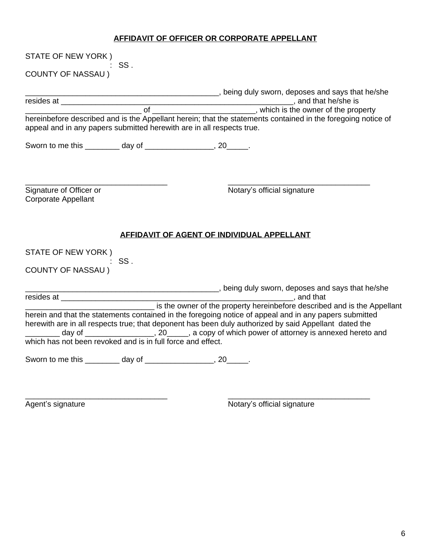# **AFFIDAVIT OF OFFICER OR CORPORATE APPELLANT**

| STATE OF NEW YORK)<br>SS.                                             |                                                                                                                                                                                                                 |  |  |  |  |
|-----------------------------------------------------------------------|-----------------------------------------------------------------------------------------------------------------------------------------------------------------------------------------------------------------|--|--|--|--|
| <b>COUNTY OF NASSAU)</b>                                              |                                                                                                                                                                                                                 |  |  |  |  |
|                                                                       | Letter State Books and says that he/she process and says that he/she                                                                                                                                            |  |  |  |  |
|                                                                       |                                                                                                                                                                                                                 |  |  |  |  |
| appeal and in any papers submitted herewith are in all respects true. | hereinbefore described and is the Appellant herein; that the statements contained in the foregoing notice of                                                                                                    |  |  |  |  |
| Sworn to me this _________ day of _________________, 20_____.         |                                                                                                                                                                                                                 |  |  |  |  |
| Signature of Officer or<br><b>Corporate Appellant</b>                 | Notary's official signature                                                                                                                                                                                     |  |  |  |  |
|                                                                       | AFFIDAVIT OF AGENT OF INDIVIDUAL APPELLANT                                                                                                                                                                      |  |  |  |  |
| STATE OF NEW YORK)                                                    |                                                                                                                                                                                                                 |  |  |  |  |
| $:$ SS.<br><b>COUNTY OF NASSAU)</b>                                   |                                                                                                                                                                                                                 |  |  |  |  |
|                                                                       |                                                                                                                                                                                                                 |  |  |  |  |
|                                                                       |                                                                                                                                                                                                                 |  |  |  |  |
| which has not been revoked and is in full force and effect.           | herein and that the statements contained in the foregoing notice of appeal and in any papers submitted<br>herewith are in all respects true; that deponent has been duly authorized by said Appellant dated the |  |  |  |  |
| Sworn to me this _________ day of _________________, 20_____.         |                                                                                                                                                                                                                 |  |  |  |  |

\_\_\_\_\_\_\_\_\_\_\_\_\_\_\_\_\_\_\_\_\_\_\_\_\_\_\_\_\_\_\_\_\_ \_\_\_\_\_\_\_\_\_\_\_\_\_\_\_\_\_\_\_\_\_\_\_\_\_\_\_\_\_\_\_\_\_

Agent's signature Notary's official signature